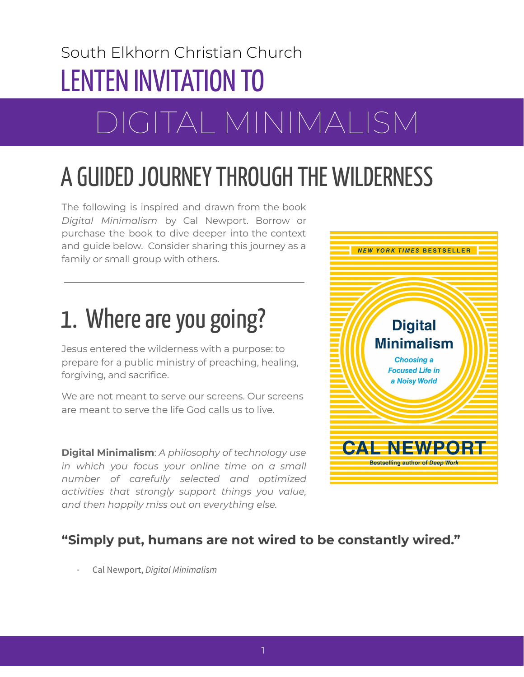### South Elkhorn Christian Church LENTEN INVITATION TO

# DIGITAL MINIMALISM

# A GUIDED JOURNEY THROUGH THE WILDERNESS

The following is inspired and drawn from the book *Digital Minimalism* by Cal Newport. Borrow or purchase the book to dive deeper into the context and guide below. Consider sharing this journey as a family or small group with others.

# 1. Where are you going?

Jesus entered the wilderness with a purpose: to prepare for a public ministry of preaching, healing, forgiving, and sacrifice.

We are not meant to serve our screens. Our screens are meant to serve the life God calls us to live.

**Digital Minimalism**: *A philosophy of technology use in which you focus your online time on a small number of carefully selected and optimized activities that strongly support things you value, and then happily miss out on everything else.*



### **"Simply put, humans are not wired to be constantly wired."**

- Cal Newport, *Digital Minimalism*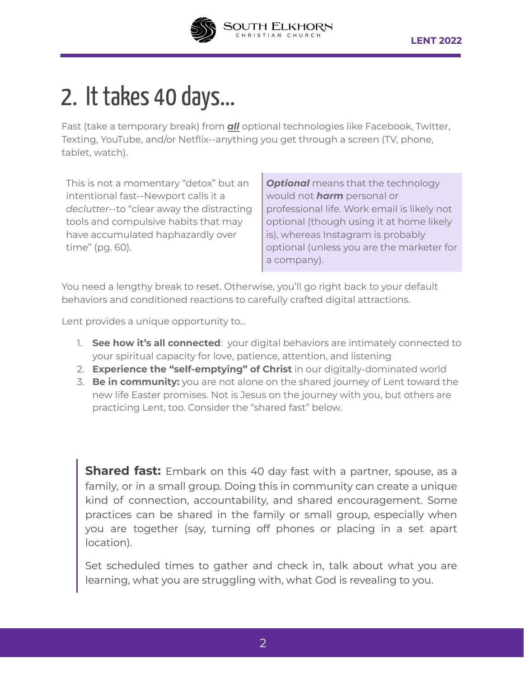

### 2. It takes 40 days...

Fast (take a temporary break) from *all* optional technologies like Facebook, Twitter, Texting, YouTube, and/or Netflix--anything you get through a screen (TV, phone, tablet, watch).

This is not a momentary "detox" but an intentional fast--Newport calls it a *declutter*--to "clear away the distracting tools and compulsive habits that may have accumulated haphazardly over time" (pg. 60).

**Optional** means that the technology would not *harm* personal or professional life. Work email is likely not optional (though using it at home likely is), whereas Instagram is probably optional (unless you are the marketer for a company).

You need a lengthy break to reset. Otherwise, you'll go right back to your default behaviors and conditioned reactions to carefully crafted digital attractions.

Lent provides a unique opportunity to...

- 1. **See how it's all connected**: your digital behaviors are intimately connected to your spiritual capacity for love, patience, attention, and listening
- 2. **Experience the "self-emptying" of Christ** in our digitally-dominated world
- 3. **Be in community:** you are not alone on the shared journey of Lent toward the new life Easter promises. Not is Jesus on the journey with you, but others are practicing Lent, too. Consider the "shared fast" below.

**Shared fast:** Embark on this 40 day fast with a partner, spouse, as a family, or in a small group. Doing this in community can create a unique kind of connection, accountability, and shared encouragement. Some practices can be shared in the family or small group, especially when you are together (say, turning off phones or placing in a set apart location).

Set scheduled times to gather and check in, talk about what you are learning, what you are struggling with, what God is revealing to you.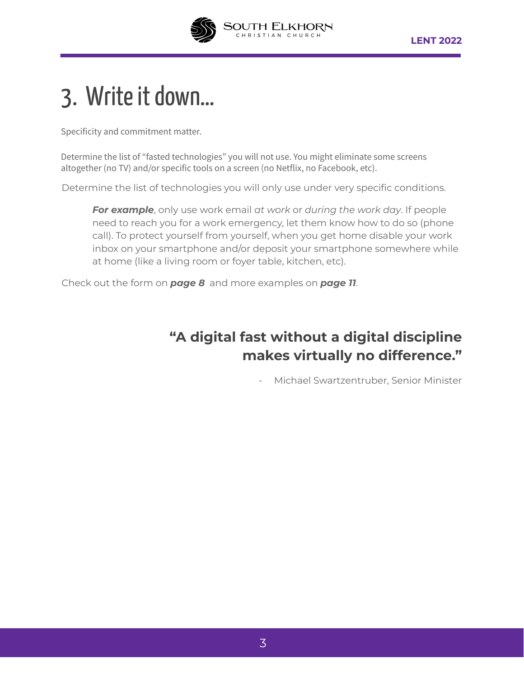

### 3. Write it down...

Specificity and commitment matter.

Determine the list of "fasted technologies" you will not use. You might eliminate some screens altogether (no TV) and/or specific tools on a screen (no Netflix, no Facebook, etc).

Determine the list of technologies you will only use under very specific conditions.

*For example*, only use work email *at work* or *during the work day*. If people need to reach you for a work emergency, let them know how to do so (phone call). To protect yourself from yourself, when you get home disable your work inbox on your smartphone and/or deposit your smartphone somewhere while at home (like a living room or foyer table, kitchen, etc).

Check out the form on *page 8* and more examples on *page 11*.

### **"A digital fast without a digital discipline makes virtually no difference."**

- Michael Swartzentruber, Senior Minister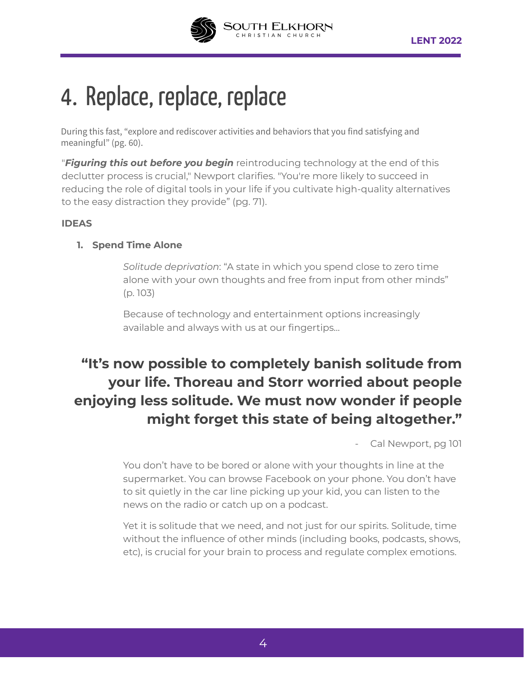

## 4. Replace, replace, replace

During this fast, "explore and rediscover activities and behaviors that you find satisfying and meaningful" (pg. 60).

"*Figuring this out before you begin* reintroducing technology at the end of this declutter process is crucial," Newport clarifies. "You're more likely to succeed in reducing the role of digital tools in your life if you cultivate high-quality alternatives to the easy distraction they provide" (pg. 71).

#### **IDEAS**

#### **1. Spend Time Alone**

*Solitude deprivation*: "A state in which you spend close to zero time alone with your own thoughts and free from input from other minds" (p. 103)

Because of technology and entertainment options increasingly available and always with us at our fingertips...

### **"It's now possible to completely banish solitude from your life. Thoreau and Storr worried about people enjoying less solitude. We must now wonder if people might forget this state of being altogether."**

Cal Newport, pg 101

You don't have to be bored or alone with your thoughts in line at the supermarket. You can browse Facebook on your phone. You don't have to sit quietly in the car line picking up your kid, you can listen to the news on the radio or catch up on a podcast.

Yet it is solitude that we need, and not just for our spirits. Solitude, time without the influence of other minds (including books, podcasts, shows, etc), is crucial for your brain to process and regulate complex emotions.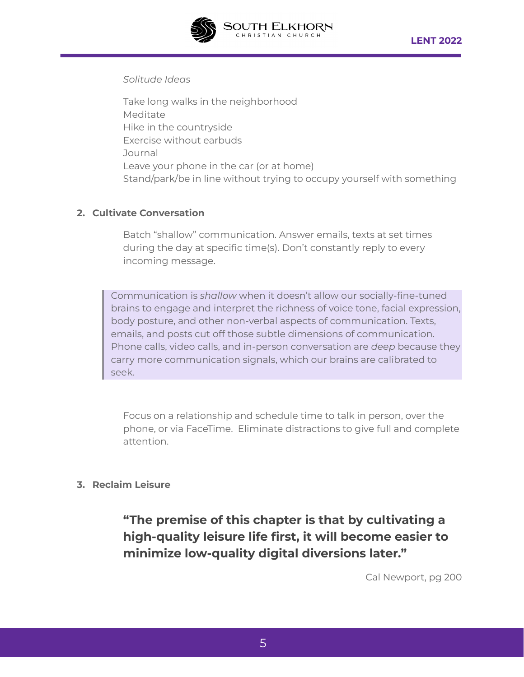

#### *Solitude Ideas*

Take long walks in the neighborhood Meditate Hike in the countryside Exercise without earbuds Journal Leave your phone in the car (or at home) Stand/park/be in line without trying to occupy yourself with something

#### **2. Cultivate Conversation**

Batch "shallow" communication. Answer emails, texts at set times during the day at specific time(s). Don't constantly reply to every incoming message.

Communication is *shallow* when it doesn't allow our socially-fine-tuned brains to engage and interpret the richness of voice tone, facial expression, body posture, and other non-verbal aspects of communication. Texts, emails, and posts cut off those subtle dimensions of communication. Phone calls, video calls, and in-person conversation are *deep* because they carry more communication signals, which our brains are calibrated to seek.

Focus on a relationship and schedule time to talk in person, over the phone, or via FaceTime. Eliminate distractions to give full and complete attention.

#### **3. Reclaim Leisure**

**"The premise of this chapter is that by cultivating a high-quality leisure life first, it will become easier to minimize low-quality digital diversions later."**

Cal Newport, pg 200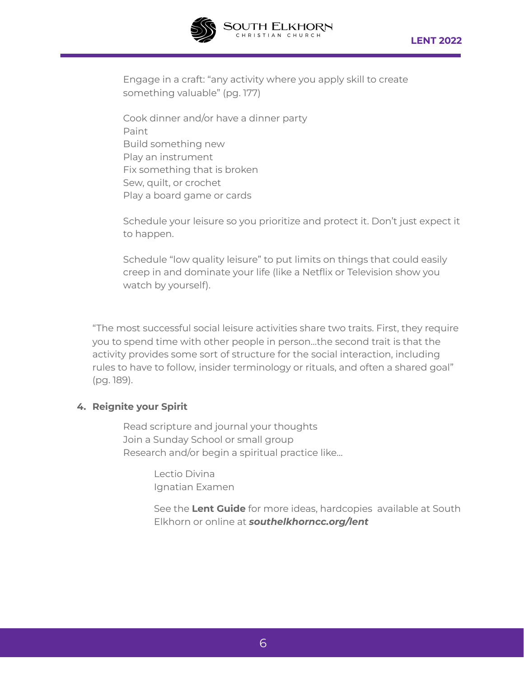

Engage in a craft: "any activity where you apply skill to create something valuable" (pg. 177)

OUTH ELKHORI<br>Christian Church

Cook dinner and/or have a dinner party Paint Build something new Play an instrument Fix something that is broken Sew, quilt, or crochet Play a board game or cards

Schedule your leisure so you prioritize and protect it. Don't just expect it to happen.

Schedule "low quality leisure" to put limits on things that could easily creep in and dominate your life (like a Netflix or Television show you watch by yourself).

"The most successful social leisure activities share two traits. First, they require you to spend time with other people in person…the second trait is that the activity provides some sort of structure for the social interaction, including rules to have to follow, insider terminology or rituals, and often a shared goal" (pg. 189).

#### **4. Reignite your Spirit**

Read scripture and journal your thoughts Join a Sunday School or small group Research and/or begin a spiritual practice like...

> Lectio Divina Ignatian Examen

See the **Lent Guide** for more ideas, hardcopies available at South Elkhorn or online at *southelkhorncc.org/lent*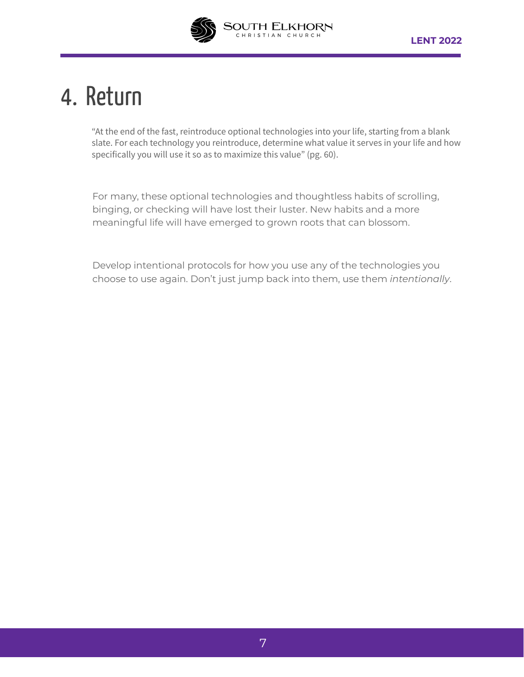

### 4. Return

"At the end of the fast, reintroduce optional technologies into your life, starting from a blank slate. For each technology you reintroduce, determine what value it serves in your life and how specifically you will use it so as to maximize this value" (pg. 60).

For many, these optional technologies and thoughtless habits of scrolling, binging, or checking will have lost their luster. New habits and a more meaningful life will have emerged to grown roots that can blossom.

Develop intentional protocols for how you use any of the technologies you choose to use again. Don't just jump back into them, use them *intentionally*.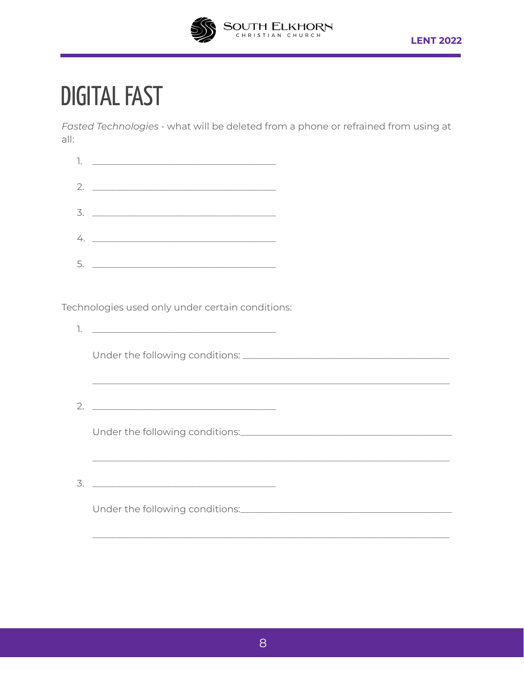

### **DIGITAL FAST**

Fasted Technologies - what will be deleted from a phone or refrained from using at all:

| 1. $\qquad \qquad$                                                                                                                                                                                                                                                                                                                                                                                                                                                 |
|--------------------------------------------------------------------------------------------------------------------------------------------------------------------------------------------------------------------------------------------------------------------------------------------------------------------------------------------------------------------------------------------------------------------------------------------------------------------|
| 2. $\qquad \qquad$                                                                                                                                                                                                                                                                                                                                                                                                                                                 |
| $\begin{array}{ccccccccccccc}\n3. & \textcolor{red}{\textbf{12.12}} & \textcolor{red}{\textbf{13.13}} & \textcolor{red}{\textbf{14.13}} & \textcolor{red}{\textbf{15.13}} & \textcolor{red}{\textbf{16.13}} & \textcolor{red}{\textbf{17.13}} & \textcolor{red}{\textbf{18.13}} & \textcolor{red}{\textbf{18.13}} & \textcolor{red}{\textbf{18.13}} & \textcolor{red}{\textbf{18.13}} & \textcolor{red}{\textbf{18.13}} & \textcolor{red}{\textbf{18.13}} & \text$ |
| 4.                                                                                                                                                                                                                                                                                                                                                                                                                                                                 |
| $5. \t\t\underline{\hspace{1.5cm}}$                                                                                                                                                                                                                                                                                                                                                                                                                                |

Technologies used only under certain conditions:

|   | <u> 1989 - Johann John Stoff, deutscher Stoffen und der Stoffen und der Stoffen und der Stoffen und der Stoffen</u>   |  |
|---|-----------------------------------------------------------------------------------------------------------------------|--|
|   |                                                                                                                       |  |
|   |                                                                                                                       |  |
|   |                                                                                                                       |  |
| 3 | <u> 1980 - Johann Barn, mars ann an t-Amhain an t-Amhain an t-Amhain an t-Amhain an t-Amhain an t-Amhain an t-Amh</u> |  |
|   |                                                                                                                       |  |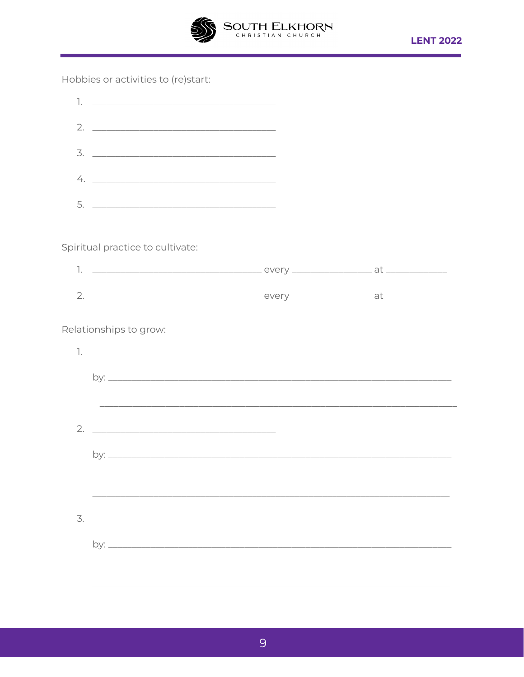

Hobbies or activities to (re)start:

| Spiritual practice to cultivate: |                                                                                                                                                                                                                                                                                 |
|----------------------------------|---------------------------------------------------------------------------------------------------------------------------------------------------------------------------------------------------------------------------------------------------------------------------------|
|                                  |                                                                                                                                                                                                                                                                                 |
|                                  |                                                                                                                                                                                                                                                                                 |
| Relationships to grow:           |                                                                                                                                                                                                                                                                                 |
|                                  |                                                                                                                                                                                                                                                                                 |
|                                  |                                                                                                                                                                                                                                                                                 |
|                                  |                                                                                                                                                                                                                                                                                 |
|                                  |                                                                                                                                                                                                                                                                                 |
|                                  |                                                                                                                                                                                                                                                                                 |
|                                  |                                                                                                                                                                                                                                                                                 |
|                                  |                                                                                                                                                                                                                                                                                 |
|                                  |                                                                                                                                                                                                                                                                                 |
|                                  |                                                                                                                                                                                                                                                                                 |
|                                  |                                                                                                                                                                                                                                                                                 |
|                                  |                                                                                                                                                                                                                                                                                 |
|                                  | $2. \_$<br>$3. \_$<br>$4. \_$<br><u> 1989 - Johann Harry Harry Harry Harry Harry Harry Harry Harry Harry Harry Harry Harry Harry Harry Harry Harry</u><br><u> 1980 - Johann Stoff, deutscher Stoff, der Stoff, der Stoff, der Stoff, der Stoff, der Stoff, der Stoff, der S</u> |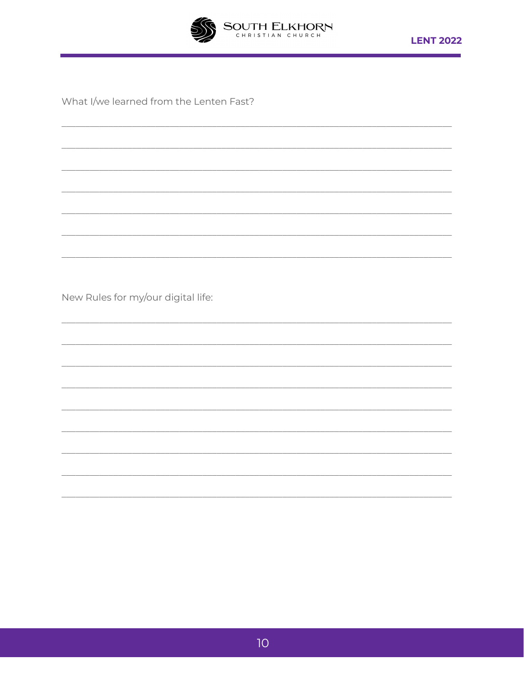

<u> 1980 - Johann John Stone, market francouzski film (</u>

What I/we learned from the Lenten Fast?

New Rules for my/our digital life: